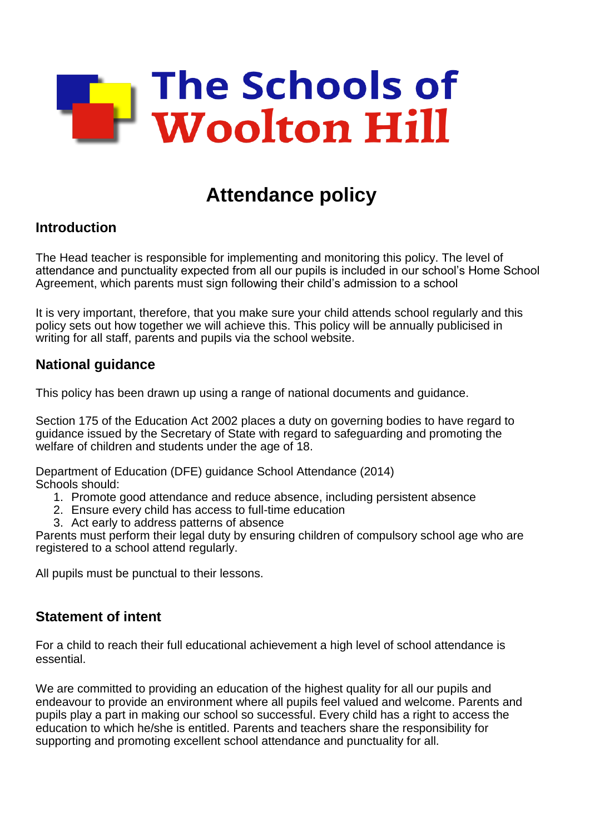

# **Attendance policy**

### **Introduction**

The Head teacher is responsible for implementing and monitoring this policy. The level of attendance and punctuality expected from all our pupils is included in our school's Home School Agreement, which parents must sign following their child's admission to a school

It is very important, therefore, that you make sure your child attends school regularly and this policy sets out how together we will achieve this. This policy will be annually publicised in writing for all staff, parents and pupils via the school website.

### **National guidance**

This policy has been drawn up using a range of national documents and guidance.

Section 175 of the Education Act 2002 places a duty on governing bodies to have regard to guidance issued by the Secretary of State with regard to safeguarding and promoting the welfare of children and students under the age of 18.

Department of Education (DFE) guidance School Attendance (2014) Schools should:

- 1. Promote good attendance and reduce absence, including persistent absence
- 2. Ensure every child has access to full-time education
- 3. Act early to address patterns of absence

Parents must perform their legal duty by ensuring children of compulsory school age who are registered to a school attend regularly.

All pupils must be punctual to their lessons.

### **Statement of intent**

For a child to reach their full educational achievement a high level of school attendance is essential.

We are committed to providing an education of the highest quality for all our pupils and endeavour to provide an environment where all pupils feel valued and welcome. Parents and pupils play a part in making our school so successful. Every child has a right to access the education to which he/she is entitled. Parents and teachers share the responsibility for supporting and promoting excellent school attendance and punctuality for all.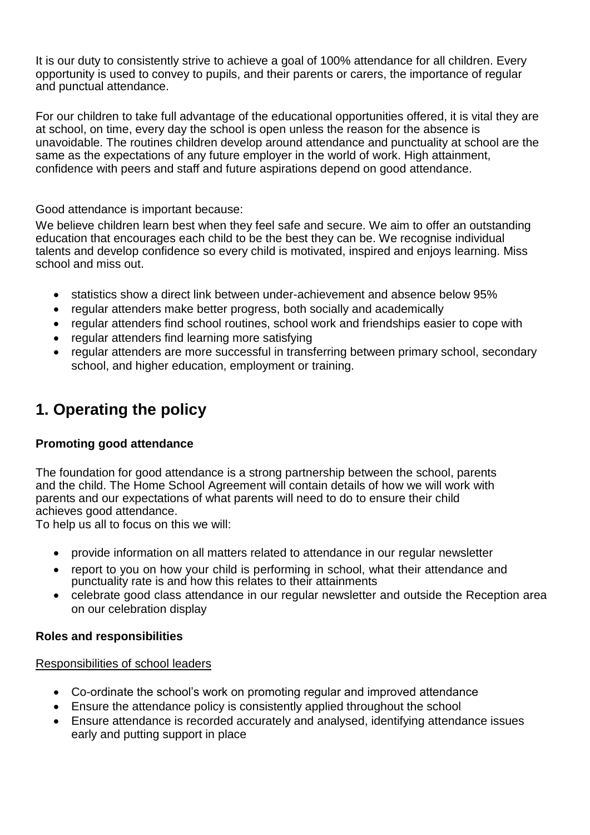It is our duty to consistently strive to achieve a goal of 100% attendance for all children. Every opportunity is used to convey to pupils, and their parents or carers, the importance of regular and punctual attendance.

For our children to take full advantage of the educational opportunities offered, it is vital they are at school, on time, every day the school is open unless the reason for the absence is unavoidable. The routines children develop around attendance and punctuality at school are the same as the expectations of any future employer in the world of work. High attainment, confidence with peers and staff and future aspirations depend on good attendance.

#### Good attendance is important because:

We believe children learn best when they feel safe and secure. We aim to offer an outstanding education that encourages each child to be the best they can be. We recognise individual talents and develop confidence so every child is motivated, inspired and enjoys learning. Miss school and miss out.

- statistics show a direct link between under-achievement and absence below 95%
- regular attenders make better progress, both socially and academically
- regular attenders find school routines, school work and friendships easier to cope with
- regular attenders find learning more satisfying
- regular attenders are more successful in transferring between primary school, secondary school, and higher education, employment or training.

## **1. Operating the policy**

#### **Promoting good attendance**

The foundation for good attendance is a strong partnership between the school, parents and the child. The Home School Agreement will contain details of how we will work with parents and our expectations of what parents will need to do to ensure their child achieves good attendance.

To help us all to focus on this we will:

- provide information on all matters related to attendance in our regular newsletter
- report to you on how your child is performing in school, what their attendance and punctuality rate is and how this relates to their attainments
- celebrate good class attendance in our regular newsletter and outside the Reception area on our celebration display

#### **Roles and responsibilities**

#### Responsibilities of school leaders

- Co-ordinate the school's work on promoting regular and improved attendance
- Ensure the attendance policy is consistently applied throughout the school
- Ensure attendance is recorded accurately and analysed, identifying attendance issues early and putting support in place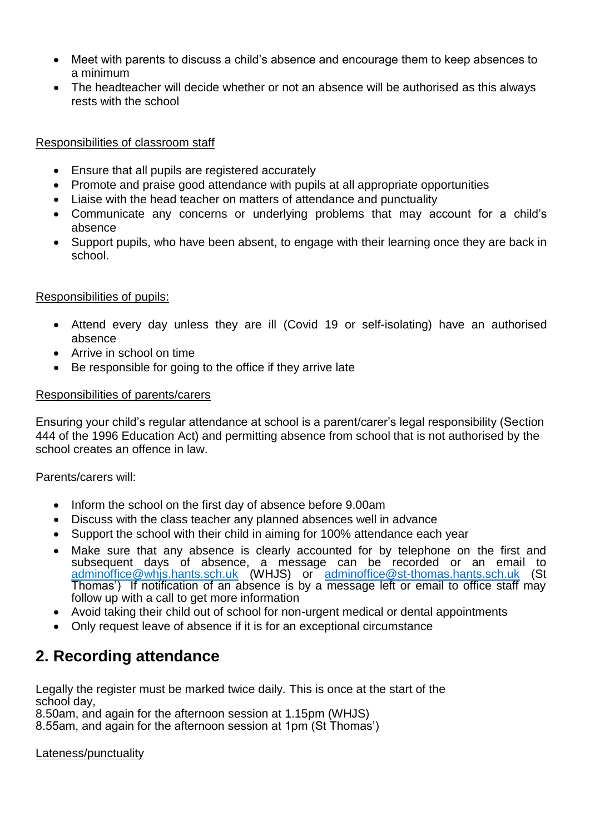- Meet with parents to discuss a child's absence and encourage them to keep absences to a minimum
- The headteacher will decide whether or not an absence will be authorised as this always rests with the school

#### Responsibilities of classroom staff

- Ensure that all pupils are registered accurately
- Promote and praise good attendance with pupils at all appropriate opportunities
- Liaise with the head teacher on matters of attendance and punctuality
- Communicate any concerns or underlying problems that may account for a child's absence
- Support pupils, who have been absent, to engage with their learning once they are back in school.

#### Responsibilities of pupils:

- Attend every day unless they are ill (Covid 19 or self-isolating) have an authorised absence
- Arrive in school on time
- Be responsible for going to the office if they arrive late

#### Responsibilities of parents/carers

Ensuring your child's regular attendance at school is a parent/carer's legal responsibility (Section 444 of the 1996 Education Act) and permitting absence from school that is not authorised by the school creates an offence in law.

Parents/carers will:

- Inform the school on the first day of absence before 9.00am
- Discuss with the class teacher any planned absences well in advance
- Support the school with their child in aiming for 100% attendance each year
- Make sure that any absence is clearly accounted for by telephone on the first and subsequent days of absence, a message can be recorded or an email to adminoffice@whjs.hants.sch.uk (WHJS) or [adminoffice@st-thomas.hants.sch.uk](mailto:adminoffice@st-thomas.hants.sch.uk) (St Thomas') If notification of an absence is by a message left or email to office staff may follow up with a call to get more information
- Avoid taking their child out of school for non-urgent medical or dental appointments
- Only request leave of absence if it is for an exceptional circumstance

## **2. Recording attendance**

Legally the register must be marked twice daily. This is once at the start of the school day,

8.50am, and again for the afternoon session at 1.15pm (WHJS)

8.55am, and again for the afternoon session at 1pm (St Thomas')

#### Lateness/punctuality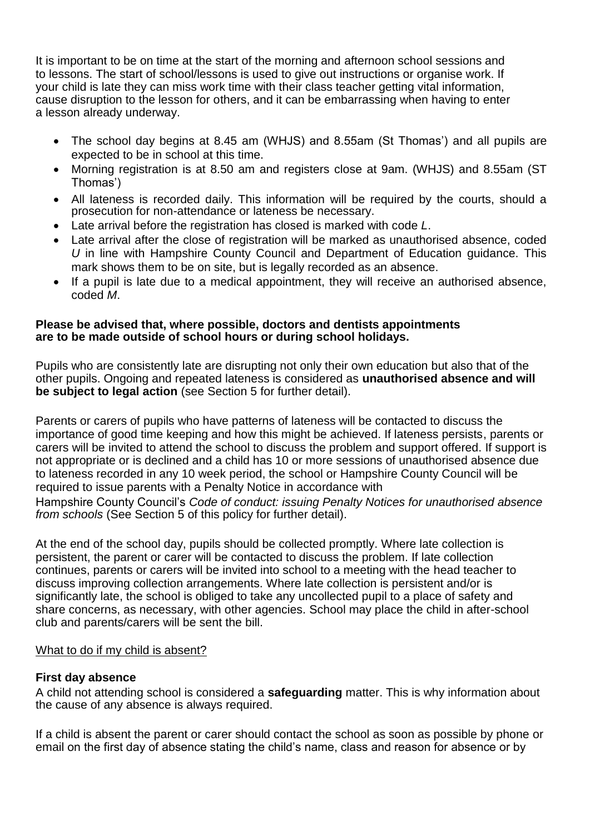It is important to be on time at the start of the morning and afternoon school sessions and to lessons. The start of school/lessons is used to give out instructions or organise work. If your child is late they can miss work time with their class teacher getting vital information, cause disruption to the lesson for others, and it can be embarrassing when having to enter a lesson already underway.

- The school day begins at 8.45 am (WHJS) and 8.55am (St Thomas') and all pupils are expected to be in school at this time.
- Morning registration is at 8.50 am and registers close at 9am. (WHJS) and 8.55am (ST Thomas')
- All lateness is recorded daily. This information will be required by the courts, should a prosecution for non-attendance or lateness be necessary.
- Late arrival before the registration has closed is marked with code *L*.
- Late arrival after the close of registration will be marked as unauthorised absence, coded *U* in line with Hampshire County Council and Department of Education guidance. This mark shows them to be on site, but is legally recorded as an absence.
- If a pupil is late due to a medical appointment, they will receive an authorised absence, coded *M*.

#### **Please be advised that, where possible, doctors and dentists appointments are to be made outside of school hours or during school holidays.**

Pupils who are consistently late are disrupting not only their own education but also that of the other pupils. Ongoing and repeated lateness is considered as **unauthorised absence and will be subject to legal action** (see Section 5 for further detail).

Parents or carers of pupils who have patterns of lateness will be contacted to discuss the importance of good time keeping and how this might be achieved. If lateness persists, parents or carers will be invited to attend the school to discuss the problem and support offered. If support is not appropriate or is declined and a child has 10 or more sessions of unauthorised absence due to lateness recorded in any 10 week period, the school or Hampshire County Council will be required to issue parents with a Penalty Notice in accordance with

Hampshire County Council's *Code of conduct: issuing Penalty Notices for unauthorised absence from schools* (See Section 5 of this policy for further detail).

At the end of the school day, pupils should be collected promptly. Where late collection is persistent, the parent or carer will be contacted to discuss the problem. If late collection continues, parents or carers will be invited into school to a meeting with the head teacher to discuss improving collection arrangements. Where late collection is persistent and/or is significantly late, the school is obliged to take any uncollected pupil to a place of safety and share concerns, as necessary, with other agencies. School may place the child in after-school club and parents/carers will be sent the bill.

#### What to do if my child is absent?

#### **First day absence**

A child not attending school is considered a **safeguarding** matter. This is why information about the cause of any absence is always required.

If a child is absent the parent or carer should contact the school as soon as possible by phone or email on the first day of absence stating the child's name, class and reason for absence or by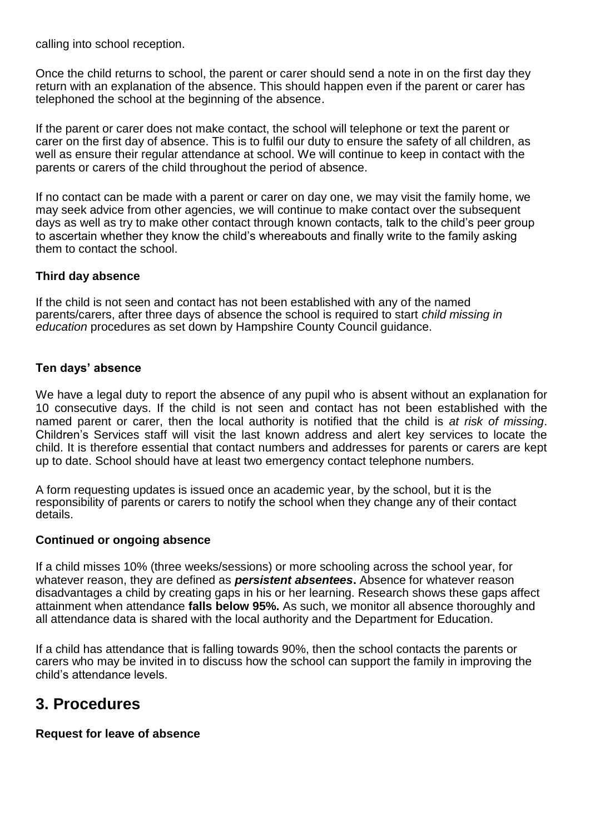calling into school reception.

Once the child returns to school, the parent or carer should send a note in on the first day they return with an explanation of the absence. This should happen even if the parent or carer has telephoned the school at the beginning of the absence.

If the parent or carer does not make contact, the school will telephone or text the parent or carer on the first day of absence. This is to fulfil our duty to ensure the safety of all children, as well as ensure their regular attendance at school. We will continue to keep in contact with the parents or carers of the child throughout the period of absence.

If no contact can be made with a parent or carer on day one, we may visit the family home, we may seek advice from other agencies, we will continue to make contact over the subsequent days as well as try to make other contact through known contacts, talk to the child's peer group to ascertain whether they know the child's whereabouts and finally write to the family asking them to contact the school.

#### **Third day absence**

If the child is not seen and contact has not been established with any of the named parents/carers, after three days of absence the school is required to start *child missing in education* procedures as set down by Hampshire County Council guidance.

#### **Ten days' absence**

We have a legal duty to report the absence of any pupil who is absent without an explanation for 10 consecutive days. If the child is not seen and contact has not been established with the named parent or carer, then the local authority is notified that the child is *at risk of missing*. Children's Services staff will visit the last known address and alert key services to locate the child. It is therefore essential that contact numbers and addresses for parents or carers are kept up to date. School should have at least two emergency contact telephone numbers.

A form requesting updates is issued once an academic year, by the school, but it is the responsibility of parents or carers to notify the school when they change any of their contact details.

#### **Continued or ongoing absence**

If a child misses 10% (three weeks/sessions) or more schooling across the school year, for whatever reason, they are defined as *persistent absentees***.** Absence for whatever reason disadvantages a child by creating gaps in his or her learning. Research shows these gaps affect attainment when attendance **falls below 95%.** As such, we monitor all absence thoroughly and all attendance data is shared with the local authority and the Department for Education.

If a child has attendance that is falling towards 90%, then the school contacts the parents or carers who may be invited in to discuss how the school can support the family in improving the child's attendance levels.

### **3. Procedures**

#### **Request for leave of absence**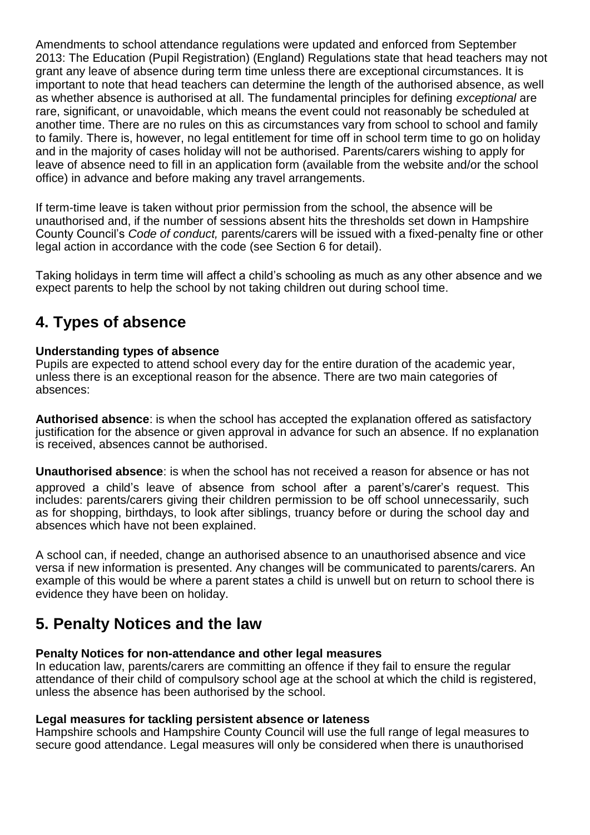Amendments to school attendance regulations were updated and enforced from September 2013: The Education (Pupil Registration) (England) Regulations state that head teachers may not grant any leave of absence during term time unless there are exceptional circumstances. It is important to note that head teachers can determine the length of the authorised absence, as well as whether absence is authorised at all. The fundamental principles for defining *exceptional* are rare, significant, or unavoidable, which means the event could not reasonably be scheduled at another time. There are no rules on this as circumstances vary from school to school and family to family. There is, however, no legal entitlement for time off in school term time to go on holiday and in the majority of cases holiday will not be authorised. Parents/carers wishing to apply for leave of absence need to fill in an application form (available from the website and/or the school office) in advance and before making any travel arrangements.

If term-time leave is taken without prior permission from the school, the absence will be unauthorised and, if the number of sessions absent hits the thresholds set down in Hampshire County Council's *Code of conduct,* parents/carers will be issued with a fixed-penalty fine or other legal action in accordance with the code (see Section 6 for detail).

Taking holidays in term time will affect a child's schooling as much as any other absence and we expect parents to help the school by not taking children out during school time.

## **4. Types of absence**

#### **Understanding types of absence**

Pupils are expected to attend school every day for the entire duration of the academic year, unless there is an exceptional reason for the absence. There are two main categories of absences:

**Authorised absence**: is when the school has accepted the explanation offered as satisfactory justification for the absence or given approval in advance for such an absence. If no explanation is received, absences cannot be authorised.

**Unauthorised absence**: is when the school has not received a reason for absence or has not approved a child's leave of absence from school after a parent's/carer's request. This includes: parents/carers giving their children permission to be off school unnecessarily, such as for shopping, birthdays, to look after siblings, truancy before or during the school day and absences which have not been explained.

A school can, if needed, change an authorised absence to an unauthorised absence and vice versa if new information is presented. Any changes will be communicated to parents/carers. An example of this would be where a parent states a child is unwell but on return to school there is evidence they have been on holiday.

## **5. Penalty Notices and the law**

#### **Penalty Notices for non-attendance and other legal measures**

In education law, parents/carers are committing an offence if they fail to ensure the regular attendance of their child of compulsory school age at the school at which the child is registered, unless the absence has been authorised by the school.

#### **Legal measures for tackling persistent absence or lateness**

Hampshire schools and Hampshire County Council will use the full range of legal measures to secure good attendance. Legal measures will only be considered when there is unauthorised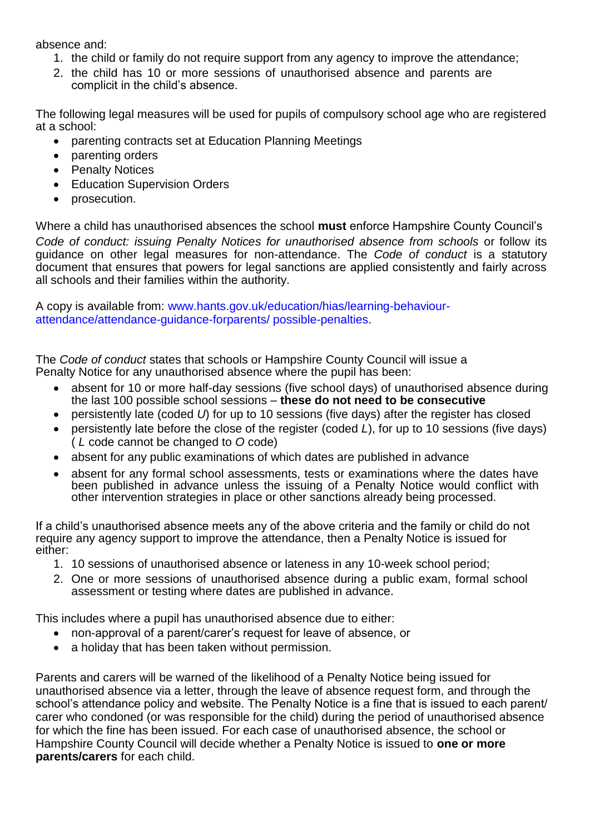absence and:

- 1. the child or family do not require support from any agency to improve the attendance;
- 2. the child has 10 or more sessions of unauthorised absence and parents are complicit in the child's absence.

The following legal measures will be used for pupils of compulsory school age who are registered at a school:

- parenting contracts set at Education Planning Meetings
- parenting orders
- Penalty Notices
- Education Supervision Orders
- prosecution.

Where a child has unauthorised absences the school **must** enforce Hampshire County Council's *Code of conduct: issuing Penalty Notices for unauthorised absence from schools or follow its* guidance on other legal measures for non-attendance. The *Code of conduct* is a statutory document that ensures that powers for legal sanctions are applied consistently and fairly across all schools and their families within the authority.

A copy is available from: www.hants.gov.uk/education/hias/learning-behaviourattendance/attendance-guidance-forparents/ possible-penalties.

The *Code of conduct* states that schools or Hampshire County Council will issue a Penalty Notice for any unauthorised absence where the pupil has been:

- absent for 10 or more half-day sessions (five school days) of unauthorised absence during the last 100 possible school sessions – **these do not need to be consecutive**
- persistently late (coded *U*) for up to 10 sessions (five days) after the register has closed
- persistently late before the close of the register (coded *L*), for up to 10 sessions (five days) ( *L* code cannot be changed to *O* code)
- absent for any public examinations of which dates are published in advance
- absent for any formal school assessments, tests or examinations where the dates have been published in advance unless the issuing of a Penalty Notice would conflict with other intervention strategies in place or other sanctions already being processed.

If a child's unauthorised absence meets any of the above criteria and the family or child do not require any agency support to improve the attendance, then a Penalty Notice is issued for either:

- 1. 10 sessions of unauthorised absence or lateness in any 10-week school period;
- 2. One or more sessions of unauthorised absence during a public exam, formal school assessment or testing where dates are published in advance.

This includes where a pupil has unauthorised absence due to either:

- non-approval of a parent/carer's request for leave of absence, or
- a holiday that has been taken without permission.

Parents and carers will be warned of the likelihood of a Penalty Notice being issued for unauthorised absence via a letter, through the leave of absence request form, and through the school's attendance policy and website. The Penalty Notice is a fine that is issued to each parent/ carer who condoned (or was responsible for the child) during the period of unauthorised absence for which the fine has been issued. For each case of unauthorised absence, the school or Hampshire County Council will decide whether a Penalty Notice is issued to **one or more parents/carers** for each child.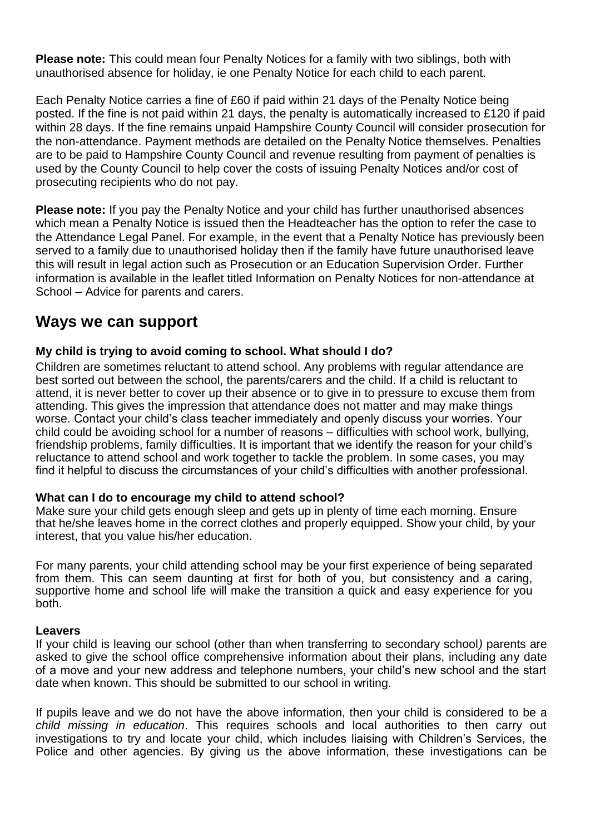**Please note:** This could mean four Penalty Notices for a family with two siblings, both with unauthorised absence for holiday, ie one Penalty Notice for each child to each parent.

Each Penalty Notice carries a fine of £60 if paid within 21 days of the Penalty Notice being posted. If the fine is not paid within 21 days, the penalty is automatically increased to £120 if paid within 28 days. If the fine remains unpaid Hampshire County Council will consider prosecution for the non-attendance. Payment methods are detailed on the Penalty Notice themselves. Penalties are to be paid to Hampshire County Council and revenue resulting from payment of penalties is used by the County Council to help cover the costs of issuing Penalty Notices and/or cost of prosecuting recipients who do not pay.

**Please note:** If you pay the Penalty Notice and your child has further unauthorised absences which mean a Penalty Notice is issued then the Headteacher has the option to refer the case to the Attendance Legal Panel. For example, in the event that a Penalty Notice has previously been served to a family due to unauthorised holiday then if the family have future unauthorised leave this will result in legal action such as Prosecution or an Education Supervision Order. Further information is available in the leaflet titled Information on Penalty Notices for non-attendance at School – Advice for parents and carers.

## **Ways we can support**

#### **My child is trying to avoid coming to school. What should I do?**

Children are sometimes reluctant to attend school. Any problems with regular attendance are best sorted out between the school, the parents/carers and the child. If a child is reluctant to attend, it is never better to cover up their absence or to give in to pressure to excuse them from attending. This gives the impression that attendance does not matter and may make things worse. Contact your child's class teacher immediately and openly discuss your worries. Your child could be avoiding school for a number of reasons – difficulties with school work, bullying, friendship problems, family difficulties. It is important that we identify the reason for your child's reluctance to attend school and work together to tackle the problem. In some cases, you may find it helpful to discuss the circumstances of your child's difficulties with another professional.

#### **What can I do to encourage my child to attend school?**

Make sure your child gets enough sleep and gets up in plenty of time each morning. Ensure that he/she leaves home in the correct clothes and properly equipped. Show your child, by your interest, that you value his/her education.

For many parents, your child attending school may be your first experience of being separated from them. This can seem daunting at first for both of you, but consistency and a caring, supportive home and school life will make the transition a quick and easy experience for you both.

#### **Leavers**

If your child is leaving our school (other than when transferring to secondary school*)* parents are asked to give the school office comprehensive information about their plans, including any date of a move and your new address and telephone numbers, your child's new school and the start date when known. This should be submitted to our school in writing.

If pupils leave and we do not have the above information, then your child is considered to be a *child missing in education*. This requires schools and local authorities to then carry out investigations to try and locate your child, which includes liaising with Children's Services, the Police and other agencies. By giving us the above information, these investigations can be